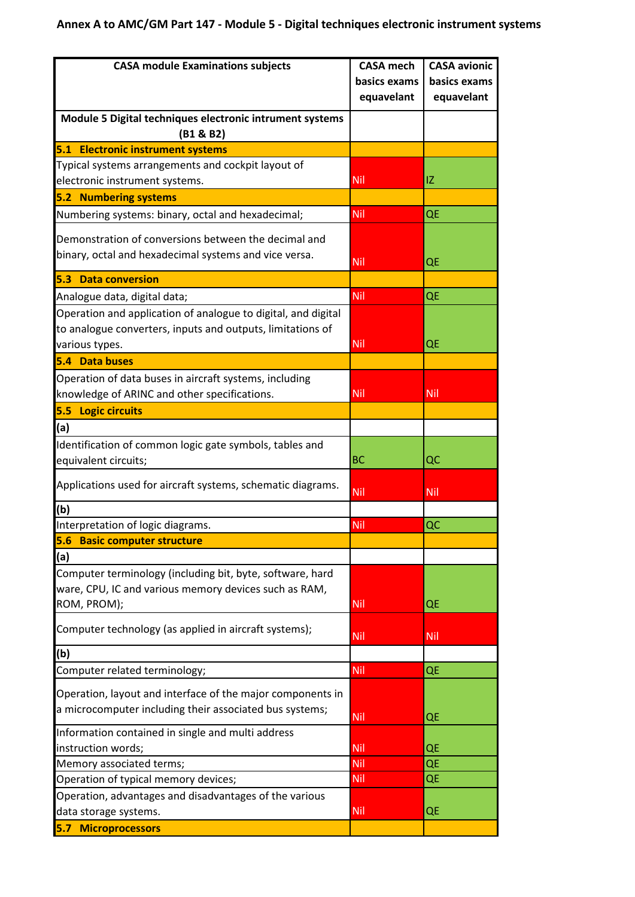## **Annex A to AMC/GM Part 147 - Module 5 - Digital techniques electronic instrument systems**

| <b>CASA module Examinations subjects</b>                                                                                          | <b>CASA mech</b> | <b>CASA avionic</b> |
|-----------------------------------------------------------------------------------------------------------------------------------|------------------|---------------------|
|                                                                                                                                   | basics exams     | basics exams        |
|                                                                                                                                   | equavelant       | equavelant          |
| Module 5 Digital techniques electronic intrument systems<br>(B1 & B2)                                                             |                  |                     |
| 5.1 Electronic instrument systems                                                                                                 |                  |                     |
| Typical systems arrangements and cockpit layout of                                                                                |                  |                     |
| electronic instrument systems.                                                                                                    | Nil              | IZ                  |
| <b>5.2 Numbering systems</b>                                                                                                      |                  |                     |
| Numbering systems: binary, octal and hexadecimal;                                                                                 | <b>Nil</b>       | QE                  |
| Demonstration of conversions between the decimal and<br>binary, octal and hexadecimal systems and vice versa.                     | <b>Nil</b>       | QE                  |
| <b>5.3 Data conversion</b>                                                                                                        |                  |                     |
| Analogue data, digital data;                                                                                                      | <b>Nil</b>       | QE                  |
| Operation and application of analogue to digital, and digital<br>to analogue converters, inputs and outputs, limitations of       |                  |                     |
| various types.                                                                                                                    | Nil              | QE                  |
| 5.4 Data buses                                                                                                                    |                  |                     |
| Operation of data buses in aircraft systems, including<br>knowledge of ARINC and other specifications.                            | Nil              | Nil                 |
| 5.5 Logic circuits                                                                                                                |                  |                     |
| (a)                                                                                                                               |                  |                     |
| Identification of common logic gate symbols, tables and<br>equivalent circuits;                                                   | <b>BC</b>        | QC                  |
| Applications used for aircraft systems, schematic diagrams.                                                                       | <b>Nil</b>       | Nil                 |
| (b)                                                                                                                               |                  |                     |
| Interpretation of logic diagrams.                                                                                                 | <b>Nil</b>       | QC                  |
| <b>Basic computer structure</b><br>5.6                                                                                            |                  |                     |
| (a)                                                                                                                               |                  |                     |
| Computer terminology (including bit, byte, software, hard<br>ware, CPU, IC and various memory devices such as RAM,<br>ROM, PROM); | <b>Nil</b>       | QE                  |
| Computer technology (as applied in aircraft systems);                                                                             | <b>Nil</b>       | <b>Nil</b>          |
| (b)                                                                                                                               |                  |                     |
| Computer related terminology;                                                                                                     | <b>Nil</b>       | QE                  |
| Operation, layout and interface of the major components in<br>a microcomputer including their associated bus systems;             |                  |                     |
|                                                                                                                                   | Nil              | QE                  |
| Information contained in single and multi address<br>instruction words;                                                           | <b>Nil</b>       | QE                  |
| Memory associated terms;                                                                                                          | <b>Nil</b>       | QE                  |
| Operation of typical memory devices;                                                                                              | Nil              | QE                  |
| Operation, advantages and disadvantages of the various                                                                            |                  |                     |
| data storage systems.                                                                                                             | <b>Nil</b>       | QE                  |
| <b>5.7 Microprocessors</b>                                                                                                        |                  |                     |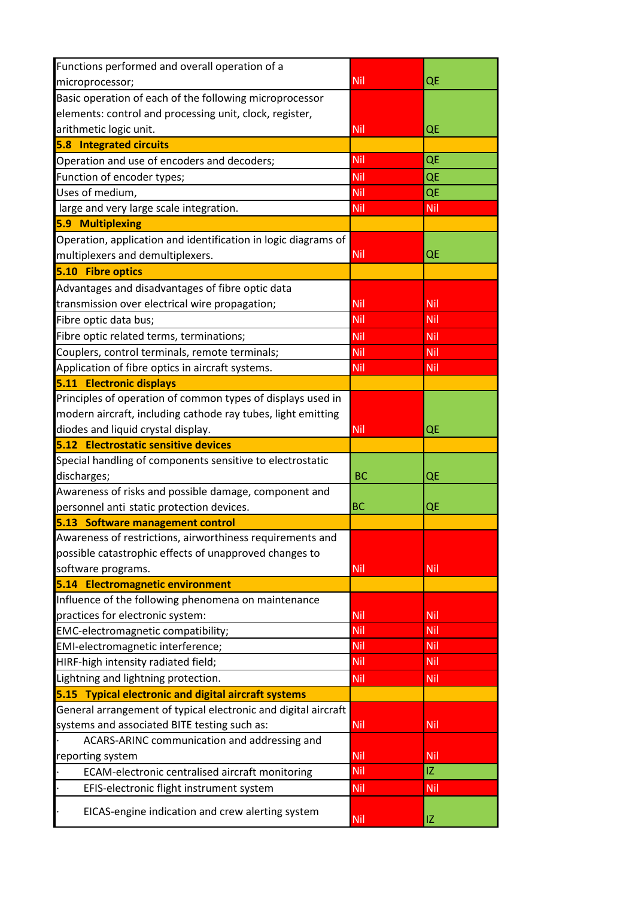| Functions performed and overall operation of a                 |            |            |
|----------------------------------------------------------------|------------|------------|
| microprocessor;                                                | <b>Nil</b> | QE         |
| Basic operation of each of the following microprocessor        |            |            |
| elements: control and processing unit, clock, register,        |            |            |
| arithmetic logic unit.                                         | Nil        | QE         |
| <b>5.8 Integrated circuits</b>                                 |            |            |
| Operation and use of encoders and decoders;                    | Nil        | QE         |
| Function of encoder types;                                     | Nil        | QE         |
| Uses of medium,                                                | Nil        | QE         |
| large and very large scale integration.                        | Nil        | Nil        |
| <b>5.9 Multiplexing</b>                                        |            |            |
| Operation, application and identification in logic diagrams of |            |            |
| multiplexers and demultiplexers.                               | Nil        | QE         |
| 5.10 Fibre optics                                              |            |            |
| Advantages and disadvantages of fibre optic data               |            |            |
| transmission over electrical wire propagation;                 | Nil        | Nil        |
| Fibre optic data bus;                                          | Nil        | Nil        |
| Fibre optic related terms, terminations;                       | Nil        | <b>Nil</b> |
| Couplers, control terminals, remote terminals;                 | Nil        | Nil        |
| Application of fibre optics in aircraft systems.               | Nil        | Nil        |
| 5.11 Electronic displays                                       |            |            |
| Principles of operation of common types of displays used in    |            |            |
| modern aircraft, including cathode ray tubes, light emitting   |            |            |
| diodes and liquid crystal display.                             | Nil        | QE         |
| 5.12 Electrostatic sensitive devices                           |            |            |
| Special handling of components sensitive to electrostatic      |            |            |
| discharges;                                                    | <b>BC</b>  | QE         |
| Awareness of risks and possible damage, component and          |            |            |
| personnel anti static protection devices.                      | <b>BC</b>  | QE         |
| 5.13 Software management control                               |            |            |
| Awareness of restrictions, airworthiness requirements and      |            |            |
| possible catastrophic effects of unapproved changes to         |            |            |
| software programs.                                             | Nil        | Nil        |
| 5.14 Electromagnetic environment                               |            |            |
| Influence of the following phenomena on maintenance            |            |            |
| practices for electronic system:                               | Nil        | Nil        |
| EMC-electromagnetic compatibility;                             | Nil        | Nil        |
| EMI-electromagnetic interference;                              | Nil        | Nil        |
| HIRF-high intensity radiated field;                            | Nil        | Nil        |
| Lightning and lightning protection.                            | Nil        | Nil        |
| 5.15 Typical electronic and digital aircraft systems           |            |            |
| General arrangement of typical electronic and digital aircraft |            |            |
| systems and associated BITE testing such as:                   | <b>Nil</b> | <b>Nil</b> |
| ACARS-ARINC communication and addressing and                   |            |            |
| reporting system                                               | Nil        | Nil        |
| ECAM-electronic centralised aircraft monitoring                | Nil        | IZ.        |
| EFIS-electronic flight instrument system                       | Nil        | Nil        |
|                                                                |            |            |
| EICAS-engine indication and crew alerting system               | Nil        | IZ         |
|                                                                |            |            |